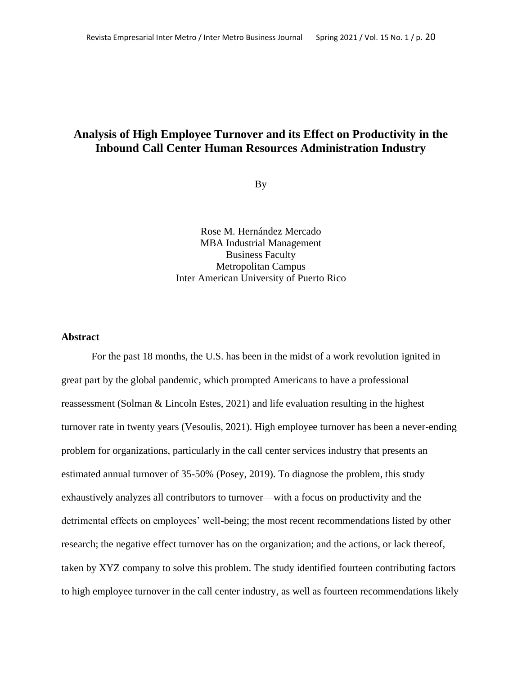# **Analysis of High Employee Turnover and its Effect on Productivity in the Inbound Call Center Human Resources Administration Industry**

By

Rose M. Hernández Mercado MBA Industrial Management Business Faculty Metropolitan Campus Inter American University of Puerto Rico

### **Abstract**

For the past 18 months, the U.S. has been in the midst of a work revolution ignited in great part by the global pandemic, which prompted Americans to have a professional reassessment (Solman & Lincoln Estes, 2021) and life evaluation resulting in the highest turnover rate in twenty years (Vesoulis, 2021). High employee turnover has been a never-ending problem for organizations, particularly in the call center services industry that presents an estimated annual turnover of 35-50% (Posey, 2019). To diagnose the problem, this study exhaustively analyzes all contributors to turnover—with a focus on productivity and the detrimental effects on employees' well-being; the most recent recommendations listed by other research; the negative effect turnover has on the organization; and the actions, or lack thereof, taken by XYZ company to solve this problem. The study identified fourteen contributing factors to high employee turnover in the call center industry, as well as fourteen recommendations likely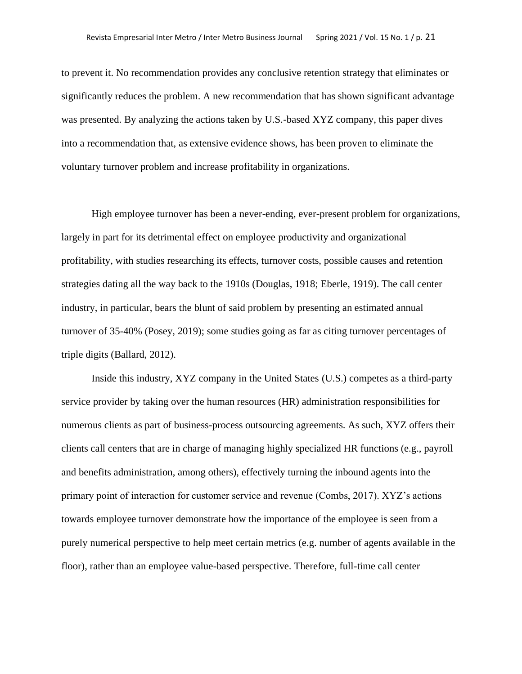to prevent it. No recommendation provides any conclusive retention strategy that eliminates or significantly reduces the problem. A new recommendation that has shown significant advantage was presented. By analyzing the actions taken by U.S.-based XYZ company, this paper dives into a recommendation that, as extensive evidence shows, has been proven to eliminate the voluntary turnover problem and increase profitability in organizations.

High employee turnover has been a never-ending, ever-present problem for organizations, largely in part for its detrimental effect on employee productivity and organizational profitability, with studies researching its effects, turnover costs, possible causes and retention strategies dating all the way back to the 1910s (Douglas, 1918; Eberle, 1919). The call center industry, in particular, bears the blunt of said problem by presenting an estimated annual turnover of 35-40% (Posey, 2019); some studies going as far as citing turnover percentages of triple digits (Ballard, 2012).

Inside this industry, XYZ company in the United States (U.S.) competes as a third-party service provider by taking over the human resources (HR) administration responsibilities for numerous clients as part of business-process outsourcing agreements. As such, XYZ offers their clients call centers that are in charge of managing highly specialized HR functions (e.g., payroll and benefits administration, among others), effectively turning the inbound agents into the primary point of interaction for customer service and revenue (Combs, 2017). XYZ's actions towards employee turnover demonstrate how the importance of the employee is seen from a purely numerical perspective to help meet certain metrics (e.g. number of agents available in the floor), rather than an employee value-based perspective. Therefore, full-time call center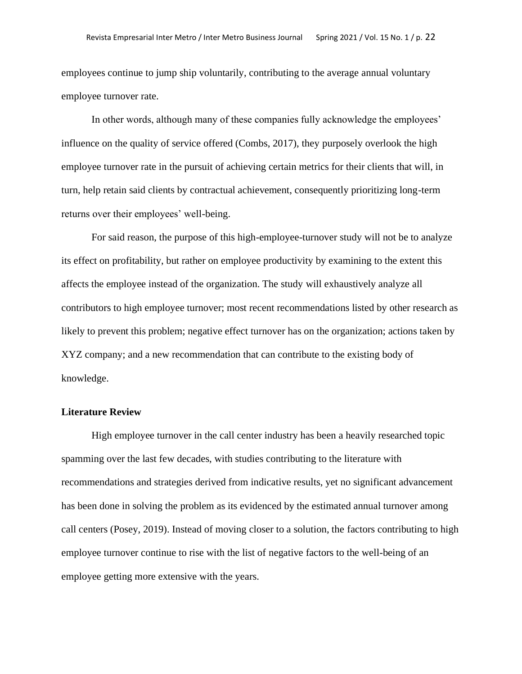employees continue to jump ship voluntarily, contributing to the average annual voluntary employee turnover rate.

In other words, although many of these companies fully acknowledge the employees' influence on the quality of service offered (Combs, 2017), they purposely overlook the high employee turnover rate in the pursuit of achieving certain metrics for their clients that will, in turn, help retain said clients by contractual achievement, consequently prioritizing long-term returns over their employees' well-being.

For said reason, the purpose of this high-employee-turnover study will not be to analyze its effect on profitability, but rather on employee productivity by examining to the extent this affects the employee instead of the organization. The study will exhaustively analyze all contributors to high employee turnover; most recent recommendations listed by other research as likely to prevent this problem; negative effect turnover has on the organization; actions taken by XYZ company; and a new recommendation that can contribute to the existing body of knowledge.

# **Literature Review**

High employee turnover in the call center industry has been a heavily researched topic spamming over the last few decades, with studies contributing to the literature with recommendations and strategies derived from indicative results, yet no significant advancement has been done in solving the problem as its evidenced by the estimated annual turnover among call centers (Posey, 2019). Instead of moving closer to a solution, the factors contributing to high employee turnover continue to rise with the list of negative factors to the well-being of an employee getting more extensive with the years.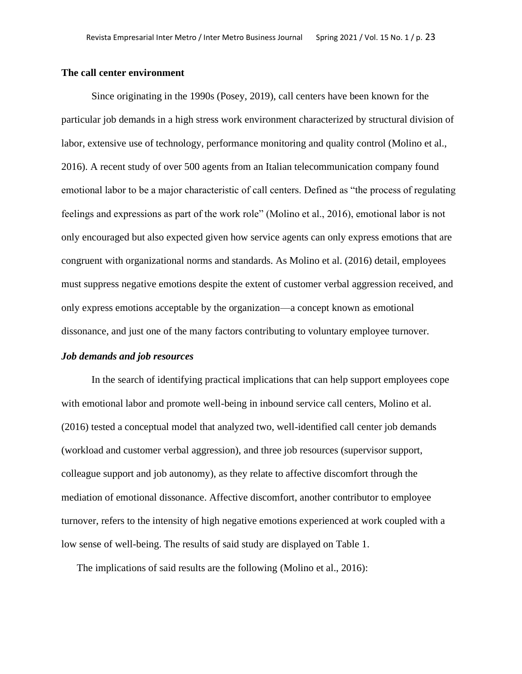#### **The call center environment**

Since originating in the 1990s (Posey, 2019), call centers have been known for the particular job demands in a high stress work environment characterized by structural division of labor, extensive use of technology, performance monitoring and quality control (Molino et al., 2016). A recent study of over 500 agents from an Italian telecommunication company found emotional labor to be a major characteristic of call centers. Defined as "the process of regulating feelings and expressions as part of the work role" (Molino et al., 2016), emotional labor is not only encouraged but also expected given how service agents can only express emotions that are congruent with organizational norms and standards. As Molino et al. (2016) detail, employees must suppress negative emotions despite the extent of customer verbal aggression received, and only express emotions acceptable by the organization—a concept known as emotional dissonance, and just one of the many factors contributing to voluntary employee turnover.

### *Job demands and job resources*

In the search of identifying practical implications that can help support employees cope with emotional labor and promote well-being in inbound service call centers, Molino et al. (2016) tested a conceptual model that analyzed two, well-identified call center job demands (workload and customer verbal aggression), and three job resources (supervisor support, colleague support and job autonomy), as they relate to affective discomfort through the mediation of emotional dissonance. Affective discomfort, another contributor to employee turnover, refers to the intensity of high negative emotions experienced at work coupled with a low sense of well-being. The results of said study are displayed on Table 1.

The implications of said results are the following (Molino et al., 2016):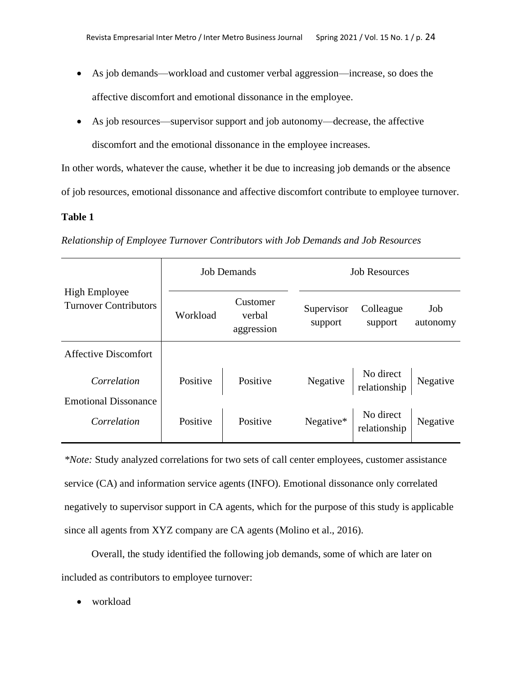- As job demands—workload and customer verbal aggression—increase, so does the affective discomfort and emotional dissonance in the employee.
- As job resources—supervisor support and job autonomy—decrease, the affective discomfort and the emotional dissonance in the employee increases.

In other words, whatever the cause, whether it be due to increasing job demands or the absence of job resources, emotional dissonance and affective discomfort contribute to employee turnover.

# **Table 1**

|  |  | Relationship of Employee Turnover Contributors with Job Demands and Job Resources |  |  |
|--|--|-----------------------------------------------------------------------------------|--|--|
|  |  |                                                                                   |  |  |

|                                                      | <b>Job Demands</b> |                                  | <b>Job Resources</b>  |                                             |                 |  |
|------------------------------------------------------|--------------------|----------------------------------|-----------------------|---------------------------------------------|-----------------|--|
| <b>High Employee</b><br><b>Turnover Contributors</b> | Workload           | Customer<br>verbal<br>aggression | Supervisor<br>support | Colleague<br>support                        | Job<br>autonomy |  |
| <b>Affective Discomfort</b>                          |                    |                                  |                       |                                             |                 |  |
| Correlation                                          | Positive           | Positive                         |                       | Negative No direct<br>relationship Negative |                 |  |
| <b>Emotional Dissonance</b><br>Correlation           | Positive           | Positive                         | Negative*             | No direct<br>relationship                   | Negative        |  |

*\*Note:* Study analyzed correlations for two sets of call center employees, customer assistance service (CA) and information service agents (INFO). Emotional dissonance only correlated negatively to supervisor support in CA agents, which for the purpose of this study is applicable since all agents from XYZ company are CA agents (Molino et al., 2016).

Overall, the study identified the following job demands, some of which are later on included as contributors to employee turnover:

• workload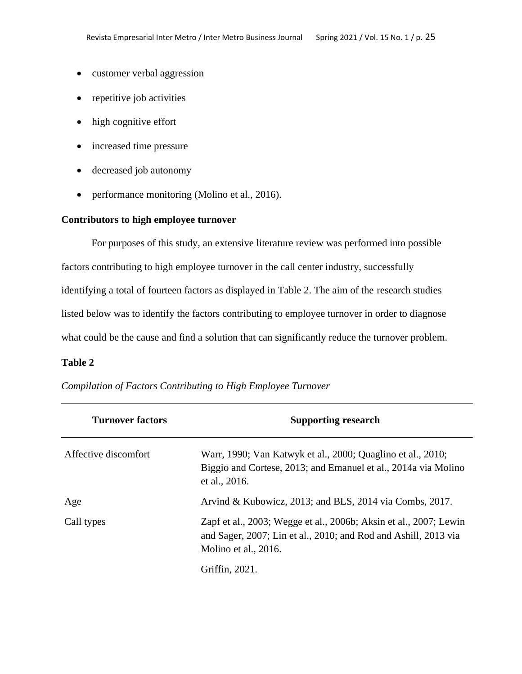- customer verbal aggression
- repetitive job activities
- high cognitive effort
- increased time pressure
- decreased job autonomy
- performance monitoring (Molino et al., 2016).

# **Contributors to high employee turnover**

For purposes of this study, an extensive literature review was performed into possible factors contributing to high employee turnover in the call center industry, successfully identifying a total of fourteen factors as displayed in Table 2. The aim of the research studies listed below was to identify the factors contributing to employee turnover in order to diagnose what could be the cause and find a solution that can significantly reduce the turnover problem.

#### **Table 2**

| <b>Turnover factors</b> | <b>Supporting research</b>                                                                                                                                   |
|-------------------------|--------------------------------------------------------------------------------------------------------------------------------------------------------------|
| Affective discomfort    | Warr, 1990; Van Katwyk et al., 2000; Quaglino et al., 2010;<br>Biggio and Cortese, 2013; and Emanuel et al., 2014a via Molino<br>et al., 2016.               |
| Age                     | Arvind & Kubowicz, 2013; and BLS, 2014 via Combs, 2017.                                                                                                      |
| Call types              | Zapf et al., 2003; Wegge et al., 2006b; Aksin et al., 2007; Lewin<br>and Sager, 2007; Lin et al., 2010; and Rod and Ashill, 2013 via<br>Molino et al., 2016. |
|                         | Griffin, 2021.                                                                                                                                               |

*Compilation of Factors Contributing to High Employee Turnover*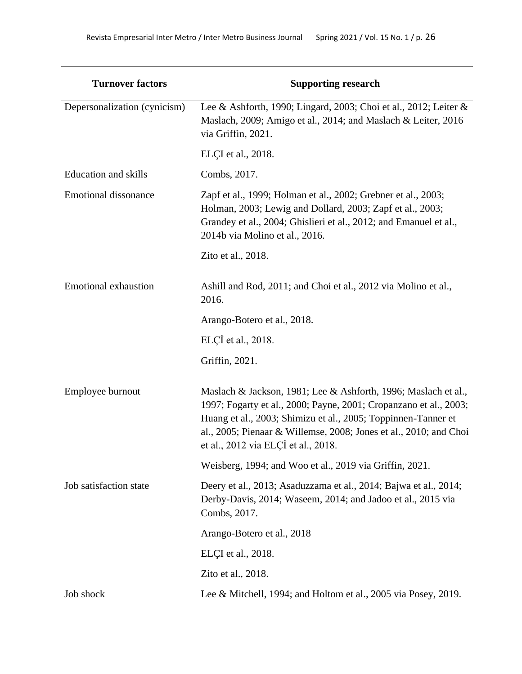| <b>Turnover factors</b>      | <b>Supporting research</b>                                                                                                                                                                                                                                                                                       |  |  |
|------------------------------|------------------------------------------------------------------------------------------------------------------------------------------------------------------------------------------------------------------------------------------------------------------------------------------------------------------|--|--|
| Depersonalization (cynicism) | Lee & Ashforth, 1990; Lingard, 2003; Choi et al., 2012; Leiter &<br>Maslach, 2009; Amigo et al., 2014; and Maslach & Leiter, 2016<br>via Griffin, 2021.                                                                                                                                                          |  |  |
|                              | ELÇI et al., 2018.                                                                                                                                                                                                                                                                                               |  |  |
| <b>Education</b> and skills  | Combs, 2017.                                                                                                                                                                                                                                                                                                     |  |  |
| <b>Emotional dissonance</b>  | Zapf et al., 1999; Holman et al., 2002; Grebner et al., 2003;<br>Holman, 2003; Lewig and Dollard, 2003; Zapf et al., 2003;<br>Grandey et al., 2004; Ghislieri et al., 2012; and Emanuel et al.,<br>2014b via Molino et al., 2016.                                                                                |  |  |
|                              | Zito et al., 2018.                                                                                                                                                                                                                                                                                               |  |  |
| <b>Emotional exhaustion</b>  | Ashill and Rod, 2011; and Choi et al., 2012 via Molino et al.,<br>2016.                                                                                                                                                                                                                                          |  |  |
|                              | Arango-Botero et al., 2018.                                                                                                                                                                                                                                                                                      |  |  |
|                              | ELÇİ et al., 2018.                                                                                                                                                                                                                                                                                               |  |  |
|                              | Griffin, 2021.                                                                                                                                                                                                                                                                                                   |  |  |
| Employee burnout             | Maslach & Jackson, 1981; Lee & Ashforth, 1996; Maslach et al.,<br>1997; Fogarty et al., 2000; Payne, 2001; Cropanzano et al., 2003;<br>Huang et al., 2003; Shimizu et al., 2005; Toppinnen-Tanner et<br>al., 2005; Pienaar & Willemse, 2008; Jones et al., 2010; and Choi<br>et al., 2012 via ELÇİ et al., 2018. |  |  |
|                              | Weisberg, 1994; and Woo et al., 2019 via Griffin, 2021.                                                                                                                                                                                                                                                          |  |  |
| Job satisfaction state       | Deery et al., 2013; Asaduzzama et al., 2014; Bajwa et al., 2014;<br>Derby-Davis, 2014; Waseem, 2014; and Jadoo et al., 2015 via<br>Combs, 2017.                                                                                                                                                                  |  |  |
|                              | Arango-Botero et al., 2018                                                                                                                                                                                                                                                                                       |  |  |
|                              | ELÇI et al., 2018.                                                                                                                                                                                                                                                                                               |  |  |
|                              | Zito et al., 2018.                                                                                                                                                                                                                                                                                               |  |  |
| Job shock                    | Lee & Mitchell, 1994; and Holtom et al., 2005 via Posey, 2019.                                                                                                                                                                                                                                                   |  |  |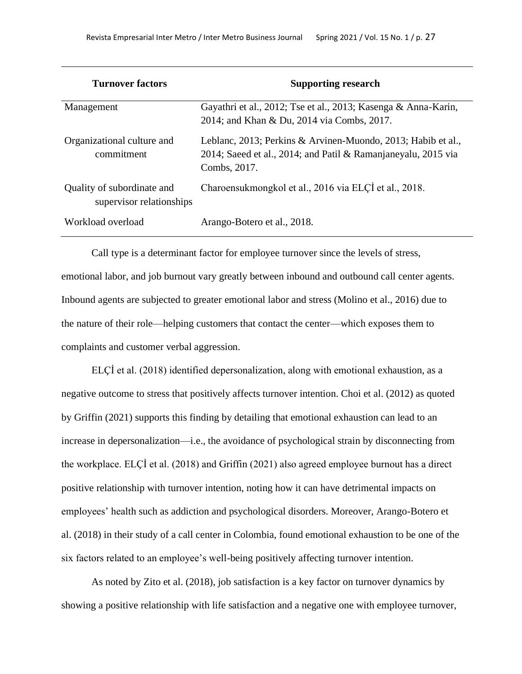| <b>Turnover factors</b>                                | <b>Supporting research</b>                                                                                                                    |  |  |
|--------------------------------------------------------|-----------------------------------------------------------------------------------------------------------------------------------------------|--|--|
| Management                                             | Gayathri et al., 2012; Tse et al., 2013; Kasenga & Anna-Karin,<br>2014; and Khan & Du, 2014 via Combs, 2017.                                  |  |  |
| Organizational culture and<br>commitment               | Leblanc, 2013; Perkins & Arvinen-Muondo, 2013; Habib et al.,<br>2014; Saeed et al., 2014; and Patil & Ramanjaneyalu, 2015 via<br>Combs, 2017. |  |  |
| Quality of subordinate and<br>supervisor relationships | Charoensukmongkol et al., 2016 via ELCI et al., 2018.                                                                                         |  |  |
| Workload overload                                      | Arango-Botero et al., 2018.                                                                                                                   |  |  |

Call type is a determinant factor for employee turnover since the levels of stress, emotional labor, and job burnout vary greatly between inbound and outbound call center agents. Inbound agents are subjected to greater emotional labor and stress (Molino et al., 2016) due to the nature of their role—helping customers that contact the center—which exposes them to complaints and customer verbal aggression.

ELÇİ et al. (2018) identified depersonalization, along with emotional exhaustion, as a negative outcome to stress that positively affects turnover intention. Choi et al. (2012) as quoted by Griffin (2021) supports this finding by detailing that emotional exhaustion can lead to an increase in depersonalization—i.e., the avoidance of psychological strain by disconnecting from the workplace. ELÇİ et al. (2018) and Griffin (2021) also agreed employee burnout has a direct positive relationship with turnover intention, noting how it can have detrimental impacts on employees' health such as addiction and psychological disorders. Moreover, Arango-Botero et al. (2018) in their study of a call center in Colombia, found emotional exhaustion to be one of the six factors related to an employee's well-being positively affecting turnover intention.

As noted by Zito et al. (2018), job satisfaction is a key factor on turnover dynamics by showing a positive relationship with life satisfaction and a negative one with employee turnover,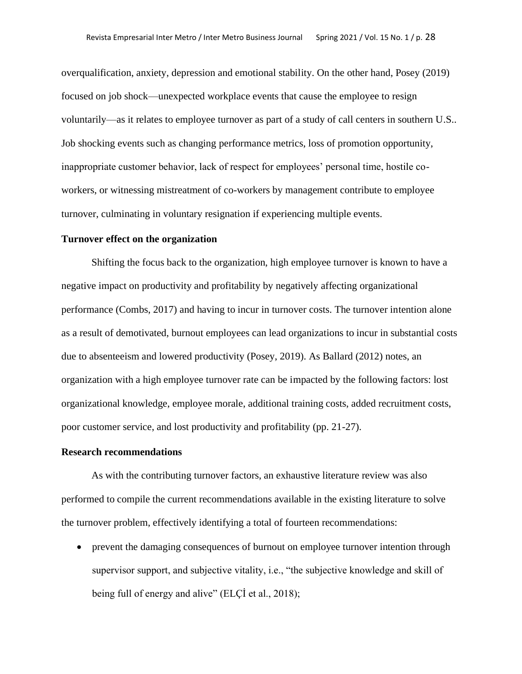overqualification, anxiety, depression and emotional stability. On the other hand, Posey (2019) focused on job shock—unexpected workplace events that cause the employee to resign voluntarily—as it relates to employee turnover as part of a study of call centers in southern U.S.. Job shocking events such as changing performance metrics, loss of promotion opportunity, inappropriate customer behavior, lack of respect for employees' personal time, hostile coworkers, or witnessing mistreatment of co-workers by management contribute to employee turnover, culminating in voluntary resignation if experiencing multiple events.

### **Turnover effect on the organization**

Shifting the focus back to the organization, high employee turnover is known to have a negative impact on productivity and profitability by negatively affecting organizational performance (Combs, 2017) and having to incur in turnover costs. The turnover intention alone as a result of demotivated, burnout employees can lead organizations to incur in substantial costs due to absenteeism and lowered productivity (Posey, 2019). As Ballard (2012) notes, an organization with a high employee turnover rate can be impacted by the following factors: lost organizational knowledge, employee morale, additional training costs, added recruitment costs, poor customer service, and lost productivity and profitability (pp. 21-27).

### **Research recommendations**

As with the contributing turnover factors, an exhaustive literature review was also performed to compile the current recommendations available in the existing literature to solve the turnover problem, effectively identifying a total of fourteen recommendations:

• prevent the damaging consequences of burnout on employee turnover intention through supervisor support, and subjective vitality, i.e., "the subjective knowledge and skill of being full of energy and alive" (ELÇİ et al., 2018);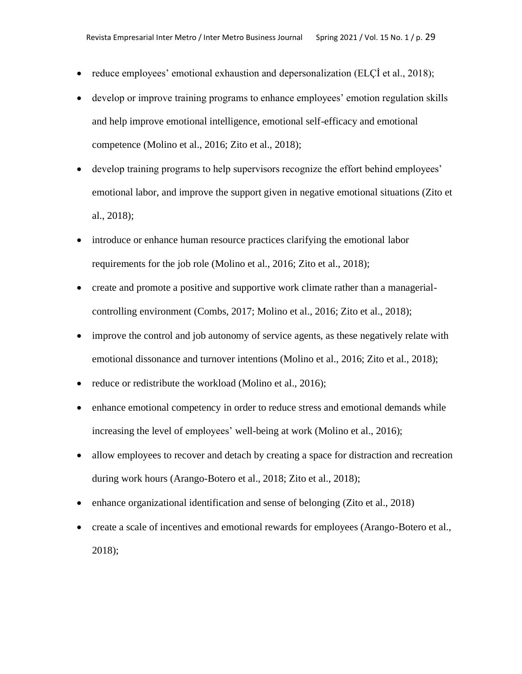- reduce employees' emotional exhaustion and depersonalization (ELCI et al., 2018);
- develop or improve training programs to enhance employees' emotion regulation skills and help improve emotional intelligence, emotional self-efficacy and emotional competence (Molino et al., 2016; Zito et al., 2018);
- develop training programs to help supervisors recognize the effort behind employees' emotional labor, and improve the support given in negative emotional situations (Zito et al., 2018);
- introduce or enhance human resource practices clarifying the emotional labor requirements for the job role (Molino et al., 2016; Zito et al., 2018);
- create and promote a positive and supportive work climate rather than a managerialcontrolling environment (Combs, 2017; Molino et al., 2016; Zito et al., 2018);
- improve the control and job autonomy of service agents, as these negatively relate with emotional dissonance and turnover intentions (Molino et al., 2016; Zito et al., 2018);
- reduce or redistribute the workload (Molino et al., 2016);
- enhance emotional competency in order to reduce stress and emotional demands while increasing the level of employees' well-being at work (Molino et al., 2016);
- allow employees to recover and detach by creating a space for distraction and recreation during work hours (Arango-Botero et al., 2018; Zito et al., 2018);
- enhance organizational identification and sense of belonging (Zito et al., 2018)
- create a scale of incentives and emotional rewards for employees (Arango-Botero et al., 2018);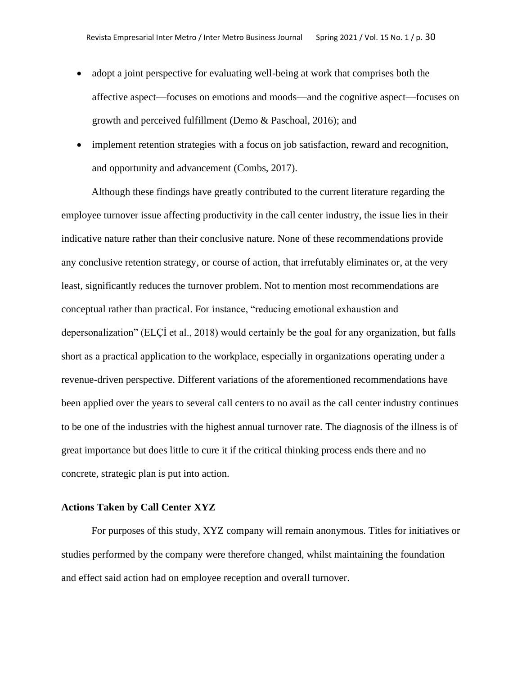- adopt a joint perspective for evaluating well-being at work that comprises both the affective aspect—focuses on emotions and moods—and the cognitive aspect—focuses on growth and perceived fulfillment (Demo & Paschoal, 2016); and
- implement retention strategies with a focus on job satisfaction, reward and recognition, and opportunity and advancement (Combs, 2017).

Although these findings have greatly contributed to the current literature regarding the employee turnover issue affecting productivity in the call center industry, the issue lies in their indicative nature rather than their conclusive nature. None of these recommendations provide any conclusive retention strategy, or course of action, that irrefutably eliminates or, at the very least, significantly reduces the turnover problem. Not to mention most recommendations are conceptual rather than practical. For instance, "reducing emotional exhaustion and depersonalization" (ELÇİ et al., 2018) would certainly be the goal for any organization, but falls short as a practical application to the workplace, especially in organizations operating under a revenue-driven perspective. Different variations of the aforementioned recommendations have been applied over the years to several call centers to no avail as the call center industry continues to be one of the industries with the highest annual turnover rate. The diagnosis of the illness is of great importance but does little to cure it if the critical thinking process ends there and no concrete, strategic plan is put into action.

#### **Actions Taken by Call Center XYZ**

For purposes of this study, XYZ company will remain anonymous. Titles for initiatives or studies performed by the company were therefore changed, whilst maintaining the foundation and effect said action had on employee reception and overall turnover.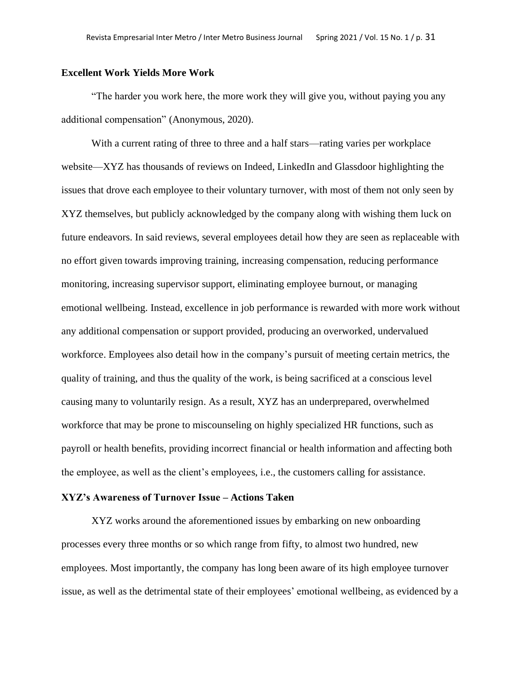#### **Excellent Work Yields More Work**

"The harder you work here, the more work they will give you, without paying you any additional compensation" (Anonymous, 2020).

With a current rating of three to three and a half stars—rating varies per workplace website—XYZ has thousands of reviews on Indeed, LinkedIn and Glassdoor highlighting the issues that drove each employee to their voluntary turnover, with most of them not only seen by XYZ themselves, but publicly acknowledged by the company along with wishing them luck on future endeavors. In said reviews, several employees detail how they are seen as replaceable with no effort given towards improving training, increasing compensation, reducing performance monitoring, increasing supervisor support, eliminating employee burnout, or managing emotional wellbeing. Instead, excellence in job performance is rewarded with more work without any additional compensation or support provided, producing an overworked, undervalued workforce. Employees also detail how in the company's pursuit of meeting certain metrics, the quality of training, and thus the quality of the work, is being sacrificed at a conscious level causing many to voluntarily resign. As a result, XYZ has an underprepared, overwhelmed workforce that may be prone to miscounseling on highly specialized HR functions, such as payroll or health benefits, providing incorrect financial or health information and affecting both the employee, as well as the client's employees, i.e., the customers calling for assistance.

# **XYZ's Awareness of Turnover Issue – Actions Taken**

XYZ works around the aforementioned issues by embarking on new onboarding processes every three months or so which range from fifty, to almost two hundred, new employees. Most importantly, the company has long been aware of its high employee turnover issue, as well as the detrimental state of their employees' emotional wellbeing, as evidenced by a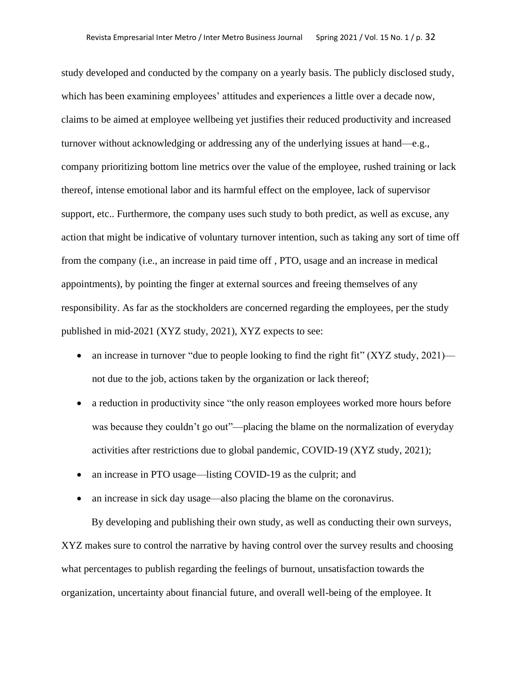study developed and conducted by the company on a yearly basis. The publicly disclosed study, which has been examining employees' attitudes and experiences a little over a decade now, claims to be aimed at employee wellbeing yet justifies their reduced productivity and increased turnover without acknowledging or addressing any of the underlying issues at hand—e.g., company prioritizing bottom line metrics over the value of the employee, rushed training or lack thereof, intense emotional labor and its harmful effect on the employee, lack of supervisor support, etc.. Furthermore, the company uses such study to both predict, as well as excuse, any action that might be indicative of voluntary turnover intention, such as taking any sort of time off from the company (i.e., an increase in paid time off , PTO, usage and an increase in medical appointments), by pointing the finger at external sources and freeing themselves of any responsibility. As far as the stockholders are concerned regarding the employees, per the study published in mid-2021 (XYZ study, 2021), XYZ expects to see:

- an increase in turnover "due to people looking to find the right fit" (XYZ study, 2021) not due to the job, actions taken by the organization or lack thereof;
- a reduction in productivity since "the only reason employees worked more hours before was because they couldn't go out"—placing the blame on the normalization of everyday activities after restrictions due to global pandemic, COVID-19 (XYZ study, 2021);
- an increase in PTO usage—listing COVID-19 as the culprit; and
- an increase in sick day usage—also placing the blame on the coronavirus.

By developing and publishing their own study, as well as conducting their own surveys, XYZ makes sure to control the narrative by having control over the survey results and choosing what percentages to publish regarding the feelings of burnout, unsatisfaction towards the organization, uncertainty about financial future, and overall well-being of the employee. It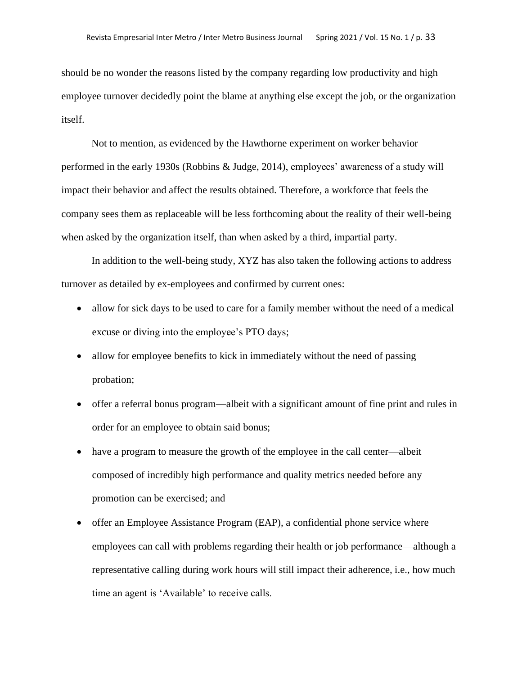should be no wonder the reasons listed by the company regarding low productivity and high employee turnover decidedly point the blame at anything else except the job, or the organization itself.

Not to mention, as evidenced by the Hawthorne experiment on worker behavior performed in the early 1930s (Robbins & Judge, 2014), employees' awareness of a study will impact their behavior and affect the results obtained. Therefore, a workforce that feels the company sees them as replaceable will be less forthcoming about the reality of their well-being when asked by the organization itself, than when asked by a third, impartial party.

In addition to the well-being study, XYZ has also taken the following actions to address turnover as detailed by ex-employees and confirmed by current ones:

- allow for sick days to be used to care for a family member without the need of a medical excuse or diving into the employee's PTO days;
- allow for employee benefits to kick in immediately without the need of passing probation;
- offer a referral bonus program—albeit with a significant amount of fine print and rules in order for an employee to obtain said bonus;
- have a program to measure the growth of the employee in the call center—albeit composed of incredibly high performance and quality metrics needed before any promotion can be exercised; and
- offer an Employee Assistance Program (EAP), a confidential phone service where employees can call with problems regarding their health or job performance—although a representative calling during work hours will still impact their adherence, i.e., how much time an agent is 'Available' to receive calls.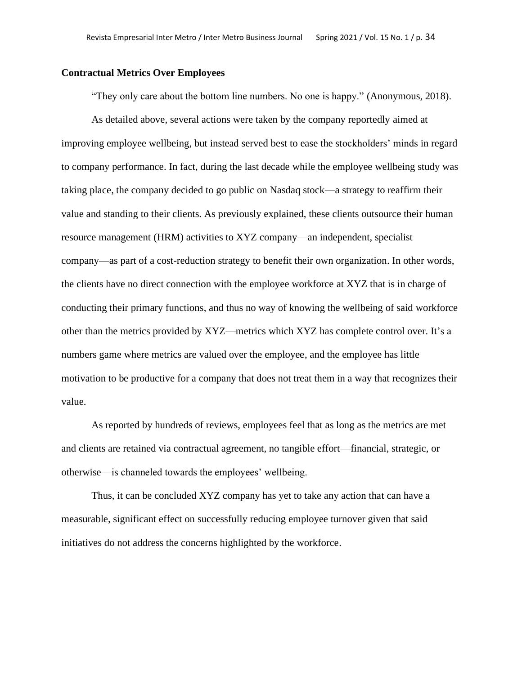#### **Contractual Metrics Over Employees**

"They only care about the bottom line numbers. No one is happy." (Anonymous, 2018).

As detailed above, several actions were taken by the company reportedly aimed at improving employee wellbeing, but instead served best to ease the stockholders' minds in regard to company performance. In fact, during the last decade while the employee wellbeing study was taking place, the company decided to go public on Nasdaq stock—a strategy to reaffirm their value and standing to their clients. As previously explained, these clients outsource their human resource management (HRM) activities to XYZ company—an independent, specialist company—as part of a cost-reduction strategy to benefit their own organization. In other words, the clients have no direct connection with the employee workforce at XYZ that is in charge of conducting their primary functions, and thus no way of knowing the wellbeing of said workforce other than the metrics provided by XYZ—metrics which XYZ has complete control over. It's a numbers game where metrics are valued over the employee, and the employee has little motivation to be productive for a company that does not treat them in a way that recognizes their value.

As reported by hundreds of reviews, employees feel that as long as the metrics are met and clients are retained via contractual agreement, no tangible effort—financial, strategic, or otherwise—is channeled towards the employees' wellbeing.

Thus, it can be concluded XYZ company has yet to take any action that can have a measurable, significant effect on successfully reducing employee turnover given that said initiatives do not address the concerns highlighted by the workforce.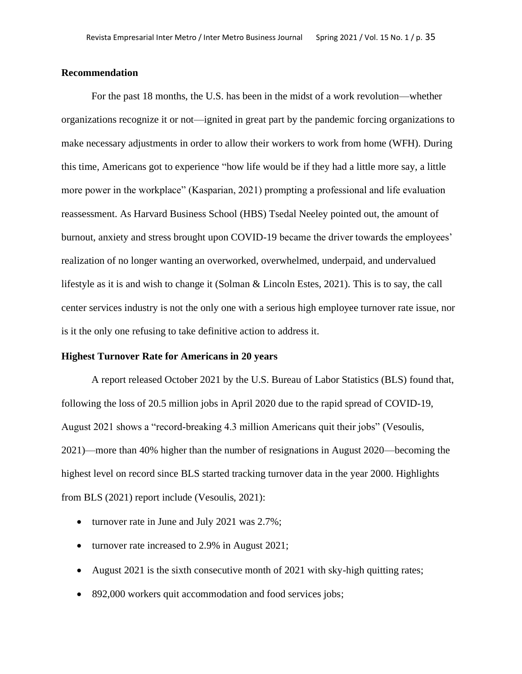#### **Recommendation**

For the past 18 months, the U.S. has been in the midst of a work revolution—whether organizations recognize it or not—ignited in great part by the pandemic forcing organizations to make necessary adjustments in order to allow their workers to work from home (WFH). During this time, Americans got to experience "how life would be if they had a little more say, a little more power in the workplace" (Kasparian, 2021) prompting a professional and life evaluation reassessment. As Harvard Business School (HBS) Tsedal Neeley pointed out, the amount of burnout, anxiety and stress brought upon COVID-19 became the driver towards the employees' realization of no longer wanting an overworked, overwhelmed, underpaid, and undervalued lifestyle as it is and wish to change it (Solman & Lincoln Estes, 2021). This is to say, the call center services industry is not the only one with a serious high employee turnover rate issue, nor is it the only one refusing to take definitive action to address it.

# **Highest Turnover Rate for Americans in 20 years**

A report released October 2021 by the U.S. Bureau of Labor Statistics (BLS) found that, following the loss of 20.5 million jobs in April 2020 due to the rapid spread of COVID-19, August 2021 shows a "record-breaking 4.3 million Americans quit their jobs" (Vesoulis, 2021)—more than 40% higher than the number of resignations in August 2020—becoming the highest level on record since BLS started tracking turnover data in the year 2000. Highlights from BLS (2021) report include (Vesoulis, 2021):

- turnover rate in June and July 2021 was 2.7%;
- turnover rate increased to 2.9% in August 2021;
- August 2021 is the sixth consecutive month of 2021 with sky-high quitting rates;
- 892,000 workers quit accommodation and food services jobs;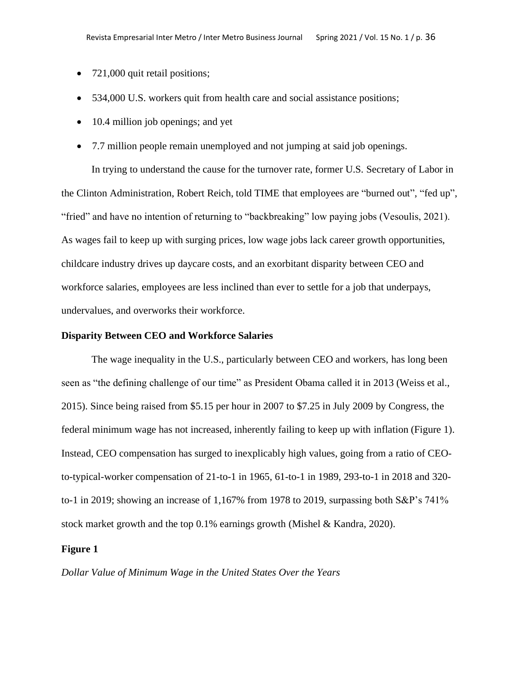- 721,000 quit retail positions;
- 534,000 U.S. workers quit from health care and social assistance positions;
- 10.4 million job openings; and yet
- 7.7 million people remain unemployed and not jumping at said job openings.

In trying to understand the cause for the turnover rate, former U.S. Secretary of Labor in the Clinton Administration, Robert Reich, told TIME that employees are "burned out", "fed up", "fried" and have no intention of returning to "backbreaking" low paying jobs (Vesoulis, 2021). As wages fail to keep up with surging prices, low wage jobs lack career growth opportunities, childcare industry drives up daycare costs, and an exorbitant disparity between CEO and workforce salaries, employees are less inclined than ever to settle for a job that underpays, undervalues, and overworks their workforce.

#### **Disparity Between CEO and Workforce Salaries**

The wage inequality in the U.S., particularly between CEO and workers, has long been seen as "the defining challenge of our time" as President Obama called it in 2013 (Weiss et al., 2015). Since being raised from \$5.15 per hour in 2007 to \$7.25 in July 2009 by Congress, the federal minimum wage has not increased, inherently failing to keep up with inflation (Figure 1). Instead, CEO compensation has surged to inexplicably high values, going from a ratio of CEOto-typical-worker compensation of 21-to-1 in 1965, 61-to-1 in 1989, 293-to-1 in 2018 and 320 to-1 in 2019; showing an increase of 1,167% from 1978 to 2019, surpassing both S&P's 741% stock market growth and the top 0.1% earnings growth (Mishel & Kandra, 2020).

#### **Figure 1**

*Dollar Value of Minimum Wage in the United States Over the Years*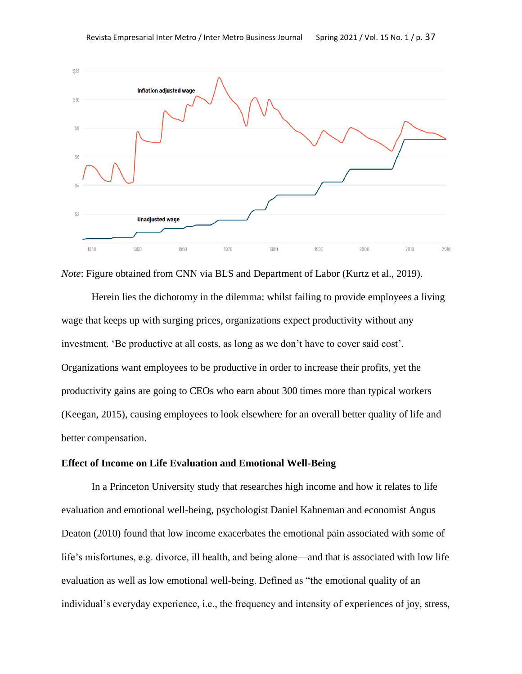

*Note*: Figure obtained from CNN via BLS and Department of Labor (Kurtz et al., 2019).

Herein lies the dichotomy in the dilemma: whilst failing to provide employees a living wage that keeps up with surging prices, organizations expect productivity without any investment. 'Be productive at all costs, as long as we don't have to cover said cost'. Organizations want employees to be productive in order to increase their profits, yet the productivity gains are going to CEOs who earn about 300 times more than typical workers (Keegan, 2015), causing employees to look elsewhere for an overall better quality of life and better compensation.

# **Effect of Income on Life Evaluation and Emotional Well-Being**

In a Princeton University study that researches high income and how it relates to life evaluation and emotional well-being, psychologist Daniel Kahneman and economist Angus Deaton (2010) found that low income exacerbates the emotional pain associated with some of life's misfortunes, e.g. divorce, ill health, and being alone—and that is associated with low life evaluation as well as low emotional well-being. Defined as "the emotional quality of an individual's everyday experience, i.e., the frequency and intensity of experiences of joy, stress,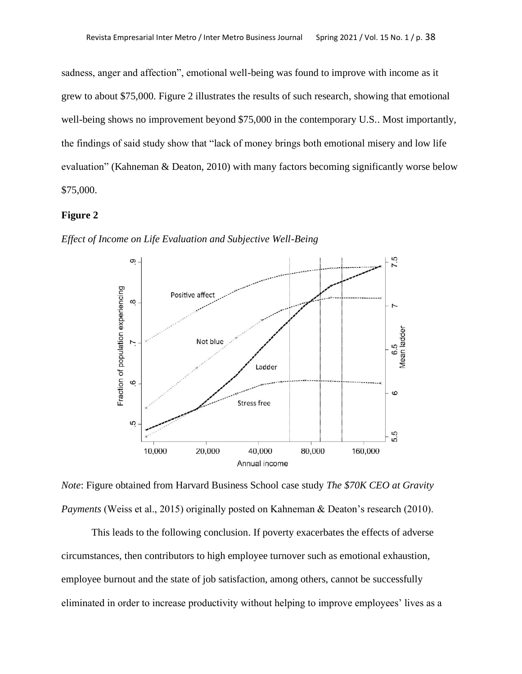sadness, anger and affection", emotional well-being was found to improve with income as it grew to about \$75,000. Figure 2 illustrates the results of such research, showing that emotional well-being shows no improvement beyond \$75,000 in the contemporary U.S.. Most importantly, the findings of said study show that "lack of money brings both emotional misery and low life evaluation" (Kahneman & Deaton, 2010) with many factors becoming significantly worse below \$75,000.

### **Figure 2**





*Note*: Figure obtained from Harvard Business School case study *The \$70K CEO at Gravity Payments* (Weiss et al., 2015) originally posted on Kahneman & Deaton's research (2010).

This leads to the following conclusion. If poverty exacerbates the effects of adverse circumstances, then contributors to high employee turnover such as emotional exhaustion, employee burnout and the state of job satisfaction, among others, cannot be successfully eliminated in order to increase productivity without helping to improve employees' lives as a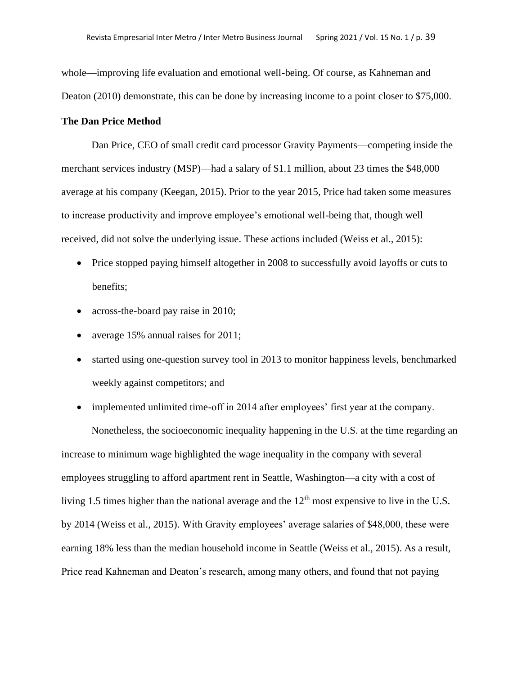whole—improving life evaluation and emotional well-being. Of course, as Kahneman and Deaton (2010) demonstrate, this can be done by increasing income to a point closer to \$75,000.

# **The Dan Price Method**

Dan Price, CEO of small credit card processor Gravity Payments—competing inside the merchant services industry (MSP)—had a salary of \$1.1 million, about 23 times the \$48,000 average at his company (Keegan, 2015). Prior to the year 2015, Price had taken some measures to increase productivity and improve employee's emotional well-being that, though well received, did not solve the underlying issue. These actions included (Weiss et al., 2015):

- Price stopped paying himself altogether in 2008 to successfully avoid layoffs or cuts to benefits;
- across-the-board pay raise in 2010;
- average 15% annual raises for 2011;
- started using one-question survey tool in 2013 to monitor happiness levels, benchmarked weekly against competitors; and

• implemented unlimited time-off in 2014 after employees' first year at the company.

Nonetheless, the socioeconomic inequality happening in the U.S. at the time regarding an increase to minimum wage highlighted the wage inequality in the company with several employees struggling to afford apartment rent in Seattle, Washington—a city with a cost of living 1.5 times higher than the national average and the  $12<sup>th</sup>$  most expensive to live in the U.S. by 2014 (Weiss et al., 2015). With Gravity employees' average salaries of \$48,000, these were earning 18% less than the median household income in Seattle (Weiss et al., 2015). As a result, Price read Kahneman and Deaton's research, among many others, and found that not paying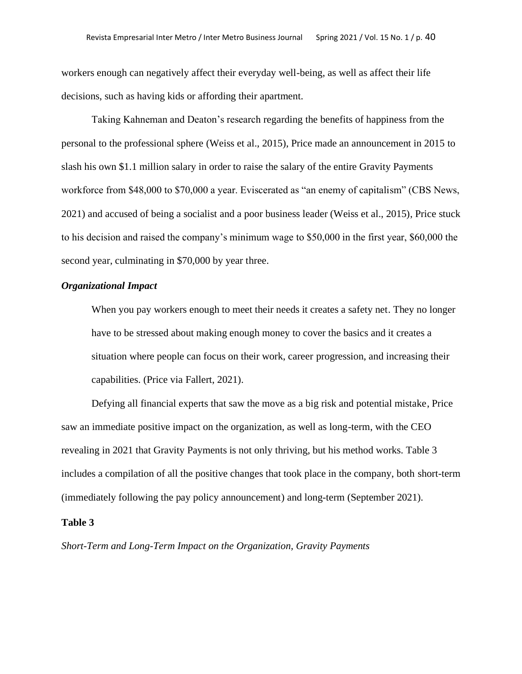workers enough can negatively affect their everyday well-being, as well as affect their life decisions, such as having kids or affording their apartment.

Taking Kahneman and Deaton's research regarding the benefits of happiness from the personal to the professional sphere (Weiss et al., 2015), Price made an announcement in 2015 to slash his own \$1.1 million salary in order to raise the salary of the entire Gravity Payments workforce from \$48,000 to \$70,000 a year. Eviscerated as "an enemy of capitalism" (CBS News, 2021) and accused of being a socialist and a poor business leader (Weiss et al., 2015), Price stuck to his decision and raised the company's minimum wage to \$50,000 in the first year, \$60,000 the second year, culminating in \$70,000 by year three.

# *Organizational Impact*

When you pay workers enough to meet their needs it creates a safety net. They no longer have to be stressed about making enough money to cover the basics and it creates a situation where people can focus on their work, career progression, and increasing their capabilities. (Price via Fallert, 2021).

Defying all financial experts that saw the move as a big risk and potential mistake, Price saw an immediate positive impact on the organization, as well as long-term, with the CEO revealing in 2021 that Gravity Payments is not only thriving, but his method works. Table 3 includes a compilation of all the positive changes that took place in the company, both short-term (immediately following the pay policy announcement) and long-term (September 2021).

### **Table 3**

*Short-Term and Long-Term Impact on the Organization, Gravity Payments*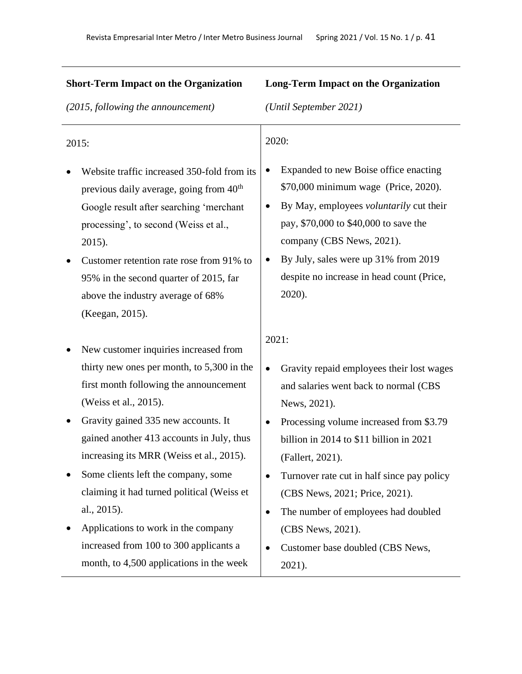| <b>Short-Term Impact on the Organization</b>                                                                                               | <b>Long-Term Impact on the Organization</b>                                                                                   |  |  |  |
|--------------------------------------------------------------------------------------------------------------------------------------------|-------------------------------------------------------------------------------------------------------------------------------|--|--|--|
| (2015, following the announcement)                                                                                                         | (Until September 2021)                                                                                                        |  |  |  |
| 2015:<br>Website traffic increased 350-fold from its<br>previous daily average, going from 40 <sup>th</sup>                                | 2020:<br>Expanded to new Boise office enacting<br>\$70,000 minimum wage (Price, 2020).                                        |  |  |  |
| Google result after searching 'merchant<br>processing', to second (Weiss et al.,<br>2015).                                                 | By May, employees voluntarily cut their<br>$\bullet$<br>pay, \$70,000 to \$40,000 to save the<br>company (CBS News, 2021).    |  |  |  |
| Customer retention rate rose from 91% to<br>95% in the second quarter of 2015, far<br>above the industry average of 68%<br>(Keegan, 2015). | By July, sales were up 31% from 2019<br>despite no increase in head count (Price,<br>2020).                                   |  |  |  |
| New customer inquiries increased from                                                                                                      | 2021:                                                                                                                         |  |  |  |
| thirty new ones per month, to $5,300$ in the<br>first month following the announcement<br>(Weiss et al., 2015).                            | Gravity repaid employees their lost wages<br>٠<br>and salaries went back to normal (CBS<br>News, 2021).                       |  |  |  |
| Gravity gained 335 new accounts. It<br>gained another 413 accounts in July, thus<br>increasing its MRR (Weiss et al., 2015).               | Processing volume increased from \$3.79<br>٠<br>billion in 2014 to \$11 billion in 2021<br>(Fallert, 2021).                   |  |  |  |
| Some clients left the company, some<br>claiming it had turned political (Weiss et<br>al., 2015).                                           | Turnover rate cut in half since pay policy<br>٠<br>(CBS News, 2021; Price, 2021).<br>The number of employees had doubled<br>٠ |  |  |  |
| Applications to work in the company<br>increased from 100 to 300 applicants a<br>month, to 4,500 applications in the week                  | (CBS News, 2021).<br>Customer base doubled (CBS News,<br>$\bullet$<br>2021).                                                  |  |  |  |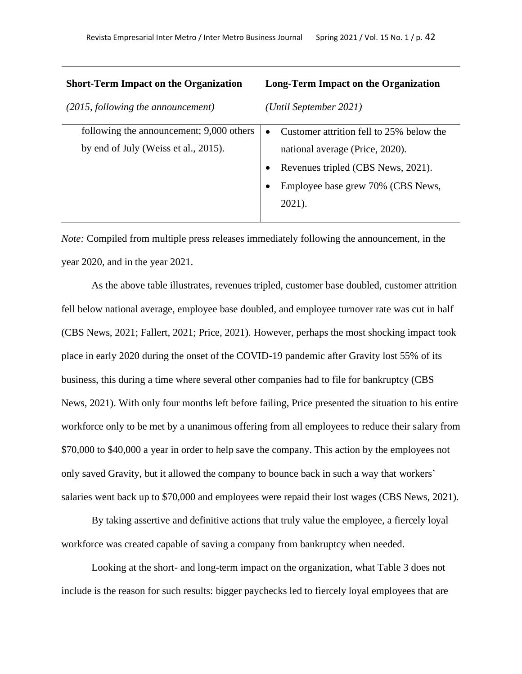| <b>Short-Term Impact on the Organization</b> | <b>Long-Term Impact on the Organization</b>           |  |  |  |
|----------------------------------------------|-------------------------------------------------------|--|--|--|
| (2015, following the announcement)           | (Until September 2021)                                |  |  |  |
| following the announcement; 9,000 others     | Customer attrition fell to 25% below the<br>$\bullet$ |  |  |  |
| by end of July (Weiss et al., 2015).         | national average (Price, 2020).                       |  |  |  |
|                                              | Revenues tripled (CBS News, 2021).                    |  |  |  |
|                                              | Employee base grew 70% (CBS News,                     |  |  |  |
|                                              | 2021).                                                |  |  |  |
|                                              |                                                       |  |  |  |

*Note:* Compiled from multiple press releases immediately following the announcement, in the year 2020, and in the year 2021.

As the above table illustrates, revenues tripled, customer base doubled, customer attrition fell below national average, employee base doubled, and employee turnover rate was cut in half (CBS News, 2021; Fallert, 2021; Price, 2021). However, perhaps the most shocking impact took place in early 2020 during the onset of the COVID-19 pandemic after Gravity lost 55% of its business, this during a time where several other companies had to file for bankruptcy (CBS News, 2021). With only four months left before failing, Price presented the situation to his entire workforce only to be met by a unanimous offering from all employees to reduce their salary from \$70,000 to \$40,000 a year in order to help save the company. This action by the employees not only saved Gravity, but it allowed the company to bounce back in such a way that workers' salaries went back up to \$70,000 and employees were repaid their lost wages (CBS News, 2021).

By taking assertive and definitive actions that truly value the employee, a fiercely loyal workforce was created capable of saving a company from bankruptcy when needed.

Looking at the short- and long-term impact on the organization, what Table 3 does not include is the reason for such results: bigger paychecks led to fiercely loyal employees that are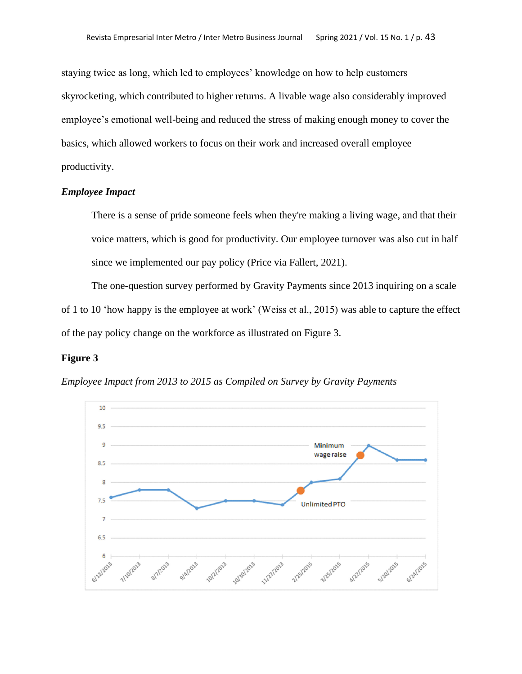staying twice as long, which led to employees' knowledge on how to help customers skyrocketing, which contributed to higher returns. A livable wage also considerably improved employee's emotional well-being and reduced the stress of making enough money to cover the basics, which allowed workers to focus on their work and increased overall employee productivity.

# *Employee Impact*

There is a sense of pride someone feels when they're making a living wage, and that their voice matters, which is good for productivity. Our employee turnover was also cut in half since we implemented our pay policy (Price via Fallert, 2021).

The one-question survey performed by Gravity Payments since 2013 inquiring on a scale of 1 to 10 'how happy is the employee at work' (Weiss et al., 2015) was able to capture the effect of the pay policy change on the workforce as illustrated on Figure 3.

#### **Figure 3**

*Employee Impact from 2013 to 2015 as Compiled on Survey by Gravity Payments*

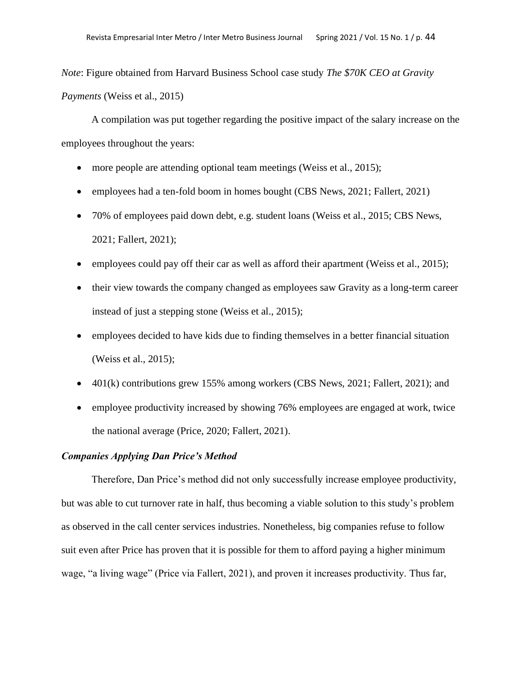*Note*: Figure obtained from Harvard Business School case study *The \$70K CEO at Gravity Payments* (Weiss et al., 2015)

A compilation was put together regarding the positive impact of the salary increase on the employees throughout the years:

- more people are attending optional team meetings (Weiss et al., 2015);
- employees had a ten-fold boom in homes bought (CBS News, 2021; Fallert, 2021)
- 70% of employees paid down debt, e.g. student loans (Weiss et al., 2015; CBS News, 2021; Fallert, 2021);
- employees could pay off their car as well as afford their apartment (Weiss et al., 2015);
- their view towards the company changed as employees saw Gravity as a long-term career instead of just a stepping stone (Weiss et al., 2015);
- employees decided to have kids due to finding themselves in a better financial situation (Weiss et al., 2015);
- 401(k) contributions grew 155% among workers (CBS News, 2021; Fallert, 2021); and
- employee productivity increased by showing 76% employees are engaged at work, twice the national average (Price, 2020; Fallert, 2021).

### *Companies Applying Dan Price's Method*

Therefore, Dan Price's method did not only successfully increase employee productivity, but was able to cut turnover rate in half, thus becoming a viable solution to this study's problem as observed in the call center services industries. Nonetheless, big companies refuse to follow suit even after Price has proven that it is possible for them to afford paying a higher minimum wage, "a living wage" (Price via Fallert, 2021), and proven it increases productivity. Thus far,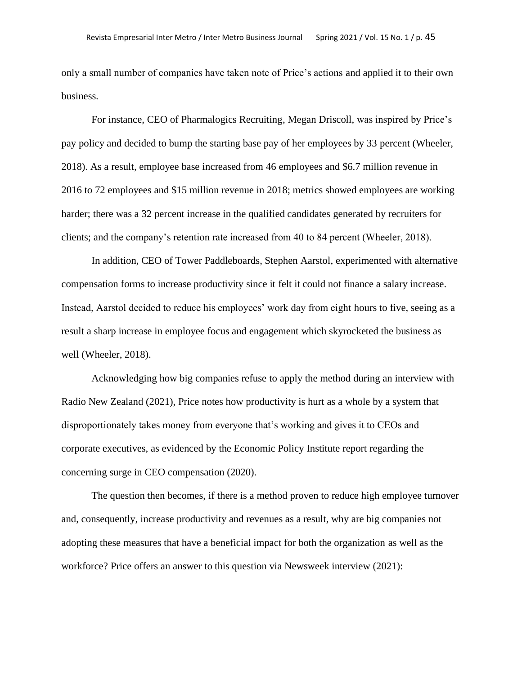only a small number of companies have taken note of Price's actions and applied it to their own business.

For instance, CEO of Pharmalogics Recruiting, Megan Driscoll, was inspired by Price's pay policy and decided to bump the starting base pay of her employees by 33 percent (Wheeler, 2018). As a result, employee base increased from 46 employees and \$6.7 million revenue in 2016 to 72 employees and \$15 million revenue in 2018; metrics showed employees are working harder; there was a 32 percent increase in the qualified candidates generated by recruiters for clients; and the company's retention rate increased from 40 to 84 percent (Wheeler, 2018).

In addition, CEO of Tower Paddleboards, Stephen Aarstol, experimented with alternative compensation forms to increase productivity since it felt it could not finance a salary increase. Instead, Aarstol decided to reduce his employees' work day from eight hours to five, seeing as a result a sharp increase in employee focus and engagement which skyrocketed the business as well (Wheeler, 2018).

Acknowledging how big companies refuse to apply the method during an interview with Radio New Zealand (2021), Price notes how productivity is hurt as a whole by a system that disproportionately takes money from everyone that's working and gives it to CEOs and corporate executives, as evidenced by the Economic Policy Institute report regarding the concerning surge in CEO compensation (2020).

The question then becomes, if there is a method proven to reduce high employee turnover and, consequently, increase productivity and revenues as a result, why are big companies not adopting these measures that have a beneficial impact for both the organization as well as the workforce? Price offers an answer to this question via Newsweek interview (2021):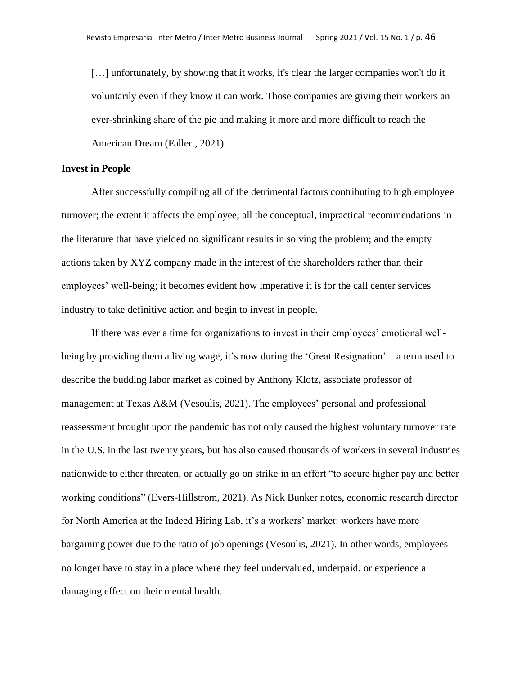[...] unfortunately, by showing that it works, it's clear the larger companies won't do it voluntarily even if they know it can work. Those companies are giving their workers an ever-shrinking share of the pie and making it more and more difficult to reach the American Dream (Fallert, 2021).

# **Invest in People**

After successfully compiling all of the detrimental factors contributing to high employee turnover; the extent it affects the employee; all the conceptual, impractical recommendations in the literature that have yielded no significant results in solving the problem; and the empty actions taken by XYZ company made in the interest of the shareholders rather than their employees' well-being; it becomes evident how imperative it is for the call center services industry to take definitive action and begin to invest in people.

If there was ever a time for organizations to invest in their employees' emotional wellbeing by providing them a living wage, it's now during the 'Great Resignation'—a term used to describe the budding labor market as coined by Anthony Klotz, associate professor of management at Texas A&M (Vesoulis, 2021). The employees' personal and professional reassessment brought upon the pandemic has not only caused the highest voluntary turnover rate in the U.S. in the last twenty years, but has also caused thousands of workers in several industries nationwide to either threaten, or actually go on strike in an effort "to secure higher pay and better working conditions" (Evers-Hillstrom, 2021). As Nick Bunker notes, economic research director for North America at the Indeed Hiring Lab, it's a workers' market: workers have more bargaining power due to the ratio of job openings (Vesoulis, 2021). In other words, employees no longer have to stay in a place where they feel undervalued, underpaid, or experience a damaging effect on their mental health.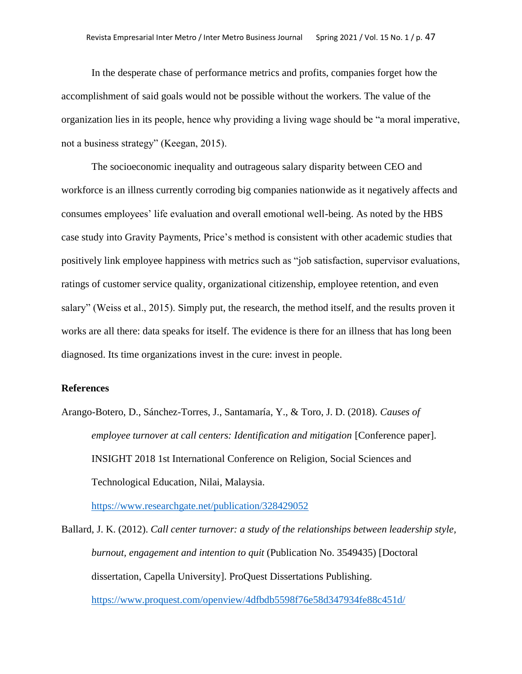In the desperate chase of performance metrics and profits, companies forget how the accomplishment of said goals would not be possible without the workers. The value of the organization lies in its people, hence why providing a living wage should be "a moral imperative, not a business strategy" (Keegan, 2015).

The socioeconomic inequality and outrageous salary disparity between CEO and workforce is an illness currently corroding big companies nationwide as it negatively affects and consumes employees' life evaluation and overall emotional well-being. As noted by the HBS case study into Gravity Payments, Price's method is consistent with other academic studies that positively link employee happiness with metrics such as "job satisfaction, supervisor evaluations, ratings of customer service quality, organizational citizenship, employee retention, and even salary" (Weiss et al., 2015). Simply put, the research, the method itself, and the results proven it works are all there: data speaks for itself. The evidence is there for an illness that has long been diagnosed. Its time organizations invest in the cure: invest in people.

# **References**

Arango-Botero, D., Sánchez-Torres, J., Santamaría, Y., & Toro, J. D. (2018). *Causes of employee turnover at call centers: Identification and mitigation* [Conference paper]. INSIGHT 2018 1st International Conference on Religion, Social Sciences and Technological Education, Nilai, Malaysia.

<https://www.researchgate.net/publication/328429052>

Ballard, J. K. (2012). *Call center turnover: a study of the relationships between leadership style, burnout, engagement and intention to quit* (Publication No. 3549435) [Doctoral dissertation, Capella University]. ProQuest Dissertations Publishing. <https://www.proquest.com/openview/4dfbdb5598f76e58d347934fe88c451d/>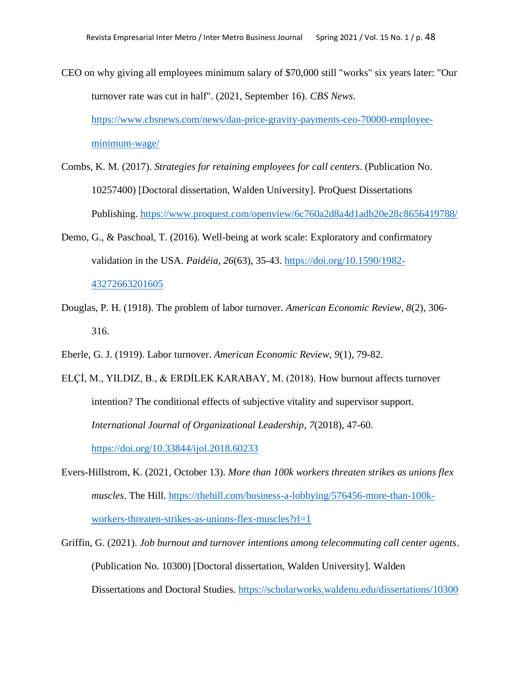- CEO on why giving all employees minimum salary of \$70,000 still "works" six years later: "Our turnover rate was cut in half". (2021, September 16). *CBS News*. [https://www.cbsnews.com/news/dan-price-gravity-payments-ceo-70000-employee](https://www.cbsnews.com/news/dan-price-gravity-payments-ceo-70000-employee-minimum-wage/)[minimum-wage/](https://www.cbsnews.com/news/dan-price-gravity-payments-ceo-70000-employee-minimum-wage/)
- Combs, K. M. (2017). *Strategies for retaining employees for call centers*. (Publication No. 10257400) [Doctoral dissertation, Walden University]. ProQuest Dissertations Publishing.<https://www.proquest.com/openview/6c760a2d8a4d1adb20e28c8656419788/>
- Demo, G., & Paschoal, T. (2016). Well-being at work scale: Exploratory and confirmatory validation in the USA. *Paidéia*, *26*(63), 35-43. [https://doi.org/10.1590/1982-](https://doi.org/10.1590/1982-43272663201605) [43272663201605](https://doi.org/10.1590/1982-43272663201605)
- Douglas, P. H. (1918). The problem of labor turnover. *American Economic Review, 8*(2), 306- 316.
- Eberle, G. J. (1919). Labor turnover. *American Economic Review, 9*(1), 79-82.
- ELÇİ, M., YILDIZ, B., & ERDİLEK KARABAY, M. (2018). How burnout affects turnover intention? The conditional effects of subjective vitality and supervisor support. *International Journal of Organizational Leadership*, *7*(2018), 47-60. <https://doi.org/10.33844/ijol.2018.60233>
- Evers-Hillstrom, K. (2021, October 13). *More than 100k workers threaten strikes as unions flex muscles*. The Hill. [https://thehill.com/business-a-lobbying/576456-more-than-100k](https://thehill.com/business-a-lobbying/576456-more-than-100k-workers-threaten-strikes-as-unions-flex-muscles?rl=1)[workers-threaten-strikes-as-unions-flex-muscles?rl=1](https://thehill.com/business-a-lobbying/576456-more-than-100k-workers-threaten-strikes-as-unions-flex-muscles?rl=1)
- Griffin, G. (2021). *Job burnout and turnover intentions among telecommuting call center agents*. (Publication No. 10300) [Doctoral dissertation, Walden University]. Walden Dissertations and Doctoral Studies. <https://scholarworks.waldenu.edu/dissertations/10300>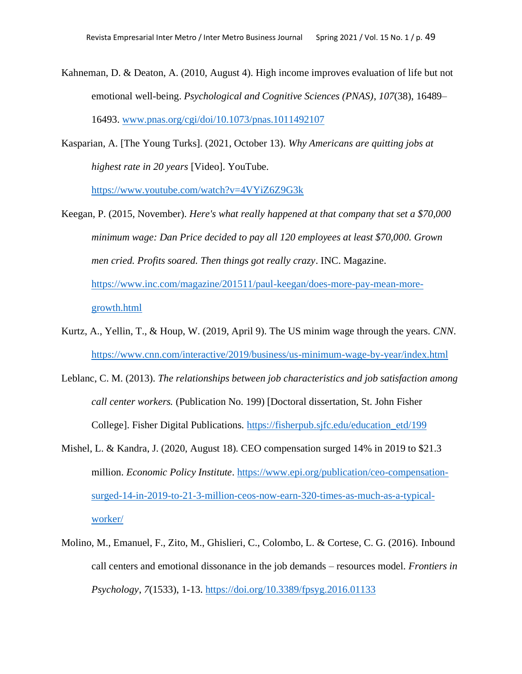- Kahneman, D. & Deaton, A. (2010, August 4). High income improves evaluation of life but not emotional well-being. *Psychological and Cognitive Sciences (PNAS)*, *107*(38), 16489– 16493. [www.pnas.org/cgi/doi/10.1073/pnas.1011492107](http://www.pnas.org/cgi/doi/10.1073/pnas.1011492107)
- Kasparian, A. [The Young Turks]. (2021, October 13). *Why Americans are quitting jobs at highest rate in 20 years* [Video]. YouTube.

<https://www.youtube.com/watch?v=4VYiZ6Z9G3k>

- Keegan, P. (2015, November). *Here's what really happened at that company that set a \$70,000 minimum wage: Dan Price decided to pay all 120 employees at least \$70,000. Grown men cried. Profits soared. Then things got really crazy*. INC. Magazine. [https://www.inc.com/magazine/201511/paul-keegan/does-more-pay-mean-more](https://www.inc.com/magazine/201511/paul-keegan/does-more-pay-mean-more-growth.html)[growth.html](https://www.inc.com/magazine/201511/paul-keegan/does-more-pay-mean-more-growth.html)
- Kurtz, A., Yellin, T., & Houp, W. (2019, April 9). The US minim wage through the years. *CNN*. <https://www.cnn.com/interactive/2019/business/us-minimum-wage-by-year/index.html>
- Leblanc, C. M. (2013). *The relationships between job characteristics and job satisfaction among call center workers.* (Publication No. 199) [Doctoral dissertation, St. John Fisher College]. Fisher Digital Publications. [https://fisherpub.sjfc.edu/education\\_etd/199](https://fisherpub.sjfc.edu/education_etd/199)
- Mishel, L. & Kandra, J. (2020, August 18). CEO compensation surged 14% in 2019 to \$21.3 million. *Economic Policy Institute*. [https://www.epi.org/publication/ceo-compensation](https://www.epi.org/publication/ceo-compensation-surged-14-in-2019-to-21-3-million-ceos-now-earn-320-times-as-much-as-a-typical-worker/)[surged-14-in-2019-to-21-3-million-ceos-now-earn-320-times-as-much-as-a-typical](https://www.epi.org/publication/ceo-compensation-surged-14-in-2019-to-21-3-million-ceos-now-earn-320-times-as-much-as-a-typical-worker/)[worker/](https://www.epi.org/publication/ceo-compensation-surged-14-in-2019-to-21-3-million-ceos-now-earn-320-times-as-much-as-a-typical-worker/)
- Molino, M., Emanuel, F., Zito, M., Ghislieri, C., Colombo, L. & Cortese, C. G. (2016). Inbound call centers and emotional dissonance in the job demands – resources model. *Frontiers in Psychology*, *7*(1533), 1-13[. https://doi.org/10.3389/fpsyg.2016.01133](https://doi.org/10.3389/fpsyg.2016.01133)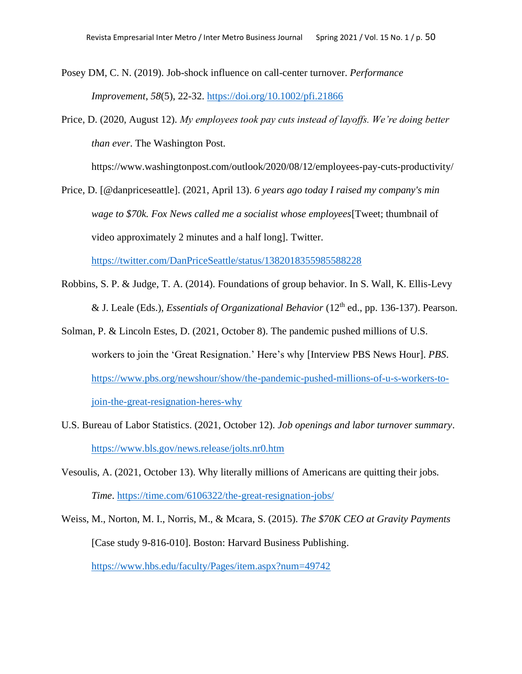Posey DM, C. N. (2019). Job-shock influence on call-center turnover. *Performance Improvement*, *58*(5), 22-32.<https://doi.org/10.1002/pfi.21866>

Price, D. (2020, August 12). *My employees took pay cuts instead of layoffs. We're doing better than ever*. The Washington Post.

https://www.washingtonpost.com/outlook/2020/08/12/employees-pay-cuts-productivity/

Price, D. [@danpriceseattle]. (2021, April 13). *6 years ago today I raised my company's min wage to \$70k. Fox News called me a socialist whose employees*[Tweet; thumbnail of video approximately 2 minutes and a half long]. Twitter.

<https://twitter.com/DanPriceSeattle/status/1382018355985588228>

- Robbins, S. P. & Judge, T. A. (2014). Foundations of group behavior. In S. Wall, K. Ellis-Levy & J. Leale (Eds.), *Essentials of Organizational Behavior* (12<sup>th</sup> ed., pp. 136-137). Pearson.
- Solman, P. & Lincoln Estes, D. (2021, October 8). The pandemic pushed millions of U.S. workers to join the 'Great Resignation.' Here's why [Interview PBS News Hour]. *PBS*. [https://www.pbs.org/newshour/show/the-pandemic-pushed-millions-of-u-s-workers-to](https://www.pbs.org/newshour/show/the-pandemic-pushed-millions-of-u-s-workers-to-join-the-great-resignation-heres-why)[join-the-great-resignation-heres-why](https://www.pbs.org/newshour/show/the-pandemic-pushed-millions-of-u-s-workers-to-join-the-great-resignation-heres-why)
- U.S. Bureau of Labor Statistics. (2021, October 12). *Job openings and labor turnover summary*. <https://www.bls.gov/news.release/jolts.nr0.htm>
- Vesoulis, A. (2021, October 13). Why literally millions of Americans are quitting their jobs. *Time*.<https://time.com/6106322/the-great-resignation-jobs/>

Weiss, M., Norton, M. I., Norris, M., & Mcara, S. (2015). *The \$70K CEO at Gravity Payments* [Case study 9-816-010]. Boston: Harvard Business Publishing. <https://www.hbs.edu/faculty/Pages/item.aspx?num=49742>